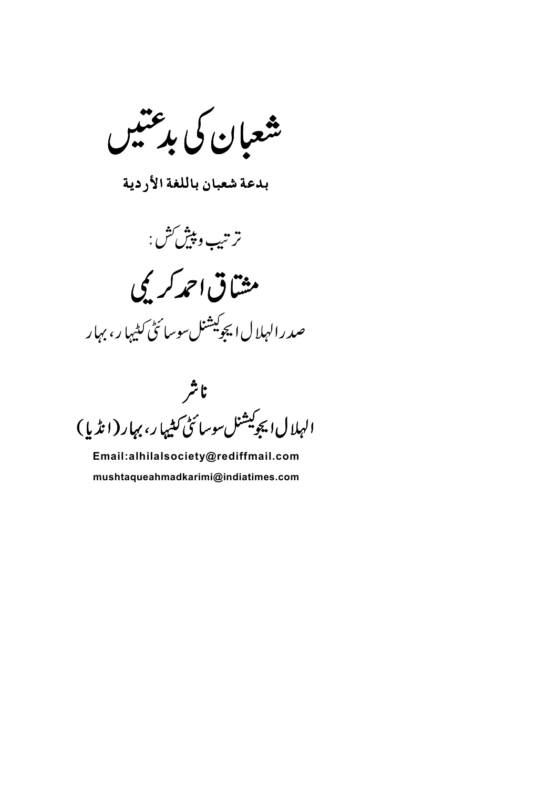شعبان کی بدعتیں

بدعة شعبان باللغة الأردية

ترتيب و پيش َش:

مشاق احمد کریمی

صد رالہلا ل ایجوکیشنل سوسائٹی کیلیہا ر، بہار

ناشر الہلال ایجوکیشنل سوسائٹی کٹیہا ر، بہار (انڈیا)

Email:alhilalsociety@rediffmail.com mushtaqueahmadkarimi@indiatimes.com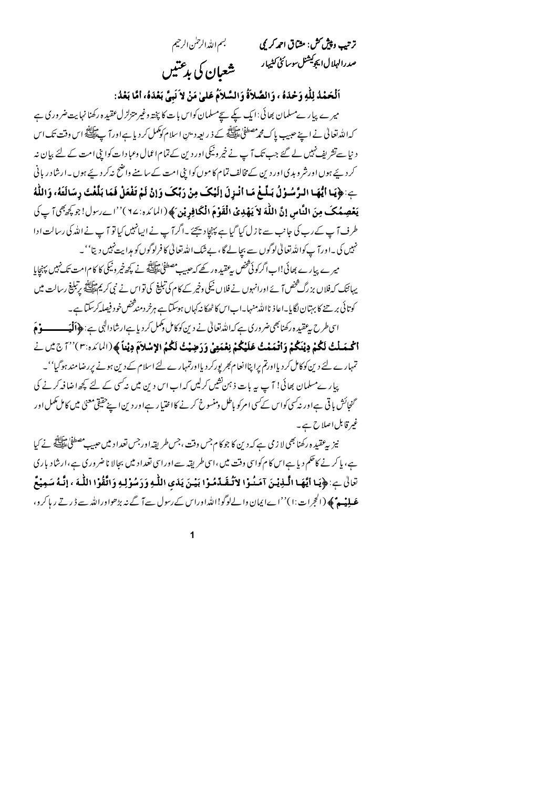بسم الله الرحمٰن الرحيم ترتب وپثِن کش: مشاق احمد کر ی صدرالہلال ایجوکیشنل سوسائٹی کٹیہار شعبان کی بدعتیں

اَلْحَمْدُ لِلَّهِ وَحْدَهُ ، وَالصَّلاَةُ وَالسَّلاَمُ عَلىٰ مَنْ لاَ نَبِيَّ بَعْدَهُ، أمَّا بَعْدُ: میرے پیارےمسلمان بھائی ٰ ایک یکے سچےمسلمان کواس بات کا پختہ وغیر متزلز ل عقید ہ رکھنا نہایت ضروری ہے کہاللہ تعالیٰ نے اپنے حبیب پاک محمد مطفیٰ اقلاقہ کے ذیر بعیردین اسلام کوکمل کر دیا ہےاور آ پے اقلیقہ اس وقت تک اس د نیا سےتشریفے نہیں لے گئے جب تک آپ نے خیرونیکی اور دین کے تمام اعمال وعبا دات کوا پی امت کے لئے بیان نہ کر دیئے ہوں اورشر و بدی اور دین کے مخالف تمام کا موں کواینی امت کے سامنے واضح نہ کر دیئے ہوں۔ارشا دریانی ے: ﴿ يَا أَيُّهَا الرَّسُوٰلُ بَلَّـٰغٍ مَا أَنْـِوْلَ إِلَيْكَ مِنْ رَبِّكَ وَإِنْ لَمْ تَفْعَلْ فَمَا بَلَّغَتَ رسَالَتَهُ، وَاللَّهُ

يَعْصِمُكَ مِنَ النَّاسِ إِنَّ اللَّهَ لاَ يَهْدِيْ الْقَوْمَ الْمَكَافِرِيْنِ َكَلَّا (المائده: ٢٤)''ا\_رسول! جوكچيجى آب كي طرف آپ کے رب کی جانب سے نازل کیا گیا ہے پہنچاد پیچنے ۔اگر آپ نے اپیانہیں کیا تو آپ نے اللہ کی رسالت ادا نہیں کی ۔اور آ پ کواللہ تعالیٰ لوگوں سے بچالے گا ، بے شک اللہ تعالیٰ کا فرلوگوں کو ہدایت نہیں دیتا<sup>، ،</sup> ۔ میرے پیارے بھائی!ابا گرکوئی څخص پیعقید ہ رکھے کہ حبیب مصطفیٰ حالیت ہے کے پیچر دنیکی کا کام امت تک نہیں پہنچایا یہائنک کہ فلاں بزرگ شخص آ ئے اورانہوں نے فلاں نیکی وخیر کے کام کی تبلیغ کی تو اس نے نبی کریم اللہ پیچ رہنچ رسالت میں

کوتائی بر تنے کا بہتان لگایا۔اعاذ نااللہ منہا۔اباس کا ٹھکا نہ کہاں ہوسکتا ہے ہرخر دمندشخص خود فیصلہ کرسکتا ہے۔

اسی طرح به عقید ہ رکھنا بھی ضر وری ہے کہ اللہ تعالیٰ نے دین کو کامل وکمل کر دیا ہےا رشادال<sub>ہی</sub> ہے : ﴿ **اَلْمَهِ —— وَ مَ** أَكْـمَـلْتُ لَكُمْ دِيْنَكُمْ وَأَتْمَمْتُ عَلَيْكُمْ نِعْمَتِيْ وَرَضِيْتُ لَكُمُ الإِسْلاَمَ دِيْناً ﴾(المائره:٣)''آج مِن نے تمہارے لئے دین کوکامل کر دیااورتم پرایناانعام بھر پورکر دیااورتمہارے لئے اسلام کے دین ہونے پررضامند ہوگیا''۔ یارےمںلمان بھائی! آ ب یہ بات ذ ہن نشیں کرلیں کہ اب اس د بن میں نہ کسی کے لئے کچھ اضافہ کرنے کی گنجائش باقی ہےاور نہ کسی کواس کےکسی امرکو باطل ومنسوخ کرنے کا اختیار ہےاور دین اپنےحقیقی معنیٰ میں کامل مکمل اور غیر قابل اصلاح ہے۔

نيز به عقيد ه رکھنا بھي لا زمي ہے کہ دين کا جو کا م جس وقت ،جس طريقہ اور جس تعدا دييں حبيب مصطفى الله الله في كيا ہے، پا کر نے کاظم دیا ہےاس کا م کواسی وقت میں ،اسی طریقہ سے اوراسی تعداد میں بجالا ناضروری ہے،ارشاد باری تَالَّى بِ: ﴿يَا أَيُّهَا الَّذِيْنَ آمَنُوْا لاَتَّقَدَّمُوْا بَيْنَ يَدَى اللَّهِ وَرَسُوْلِهِ وَاتَّقُوْا اللَّهَ ، إنَّهُ سَمِيْعٌ **عَبِلِغْيِهِمْ ﴾ (**الحجرات:١)''اےا یمان والےلوگو!اللہ اوراس کے رسول سے آ گے نہ بڑھواوراللہ سے ڈ رتے ر ہاکر و،

 $\overline{\mathbf{1}}$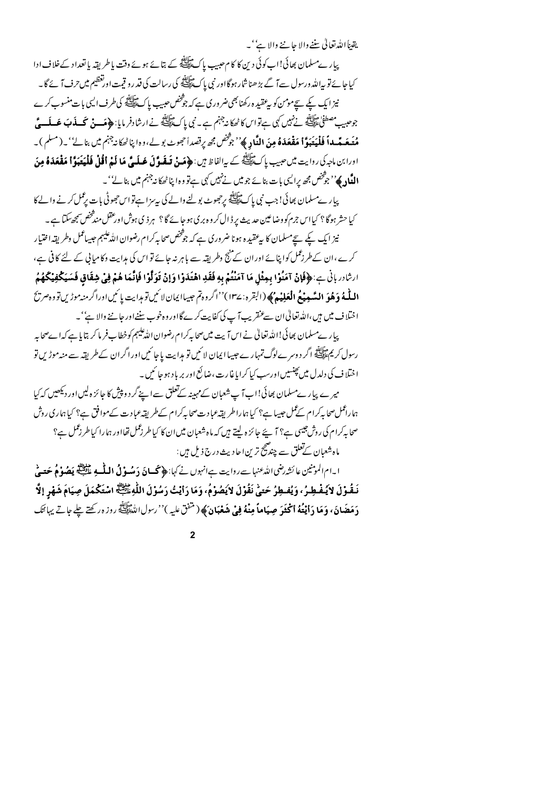يقيناً الله تعالى سننه والا جانع والا ہے'۔ پیار ےمسلمان بھائی!اب کوئی دین کا کام حبیب پاکﷺ کے بتائے ہوئے وقت پاطریقہ پا تعداد کےخلاف ادا کیا جائے تو پیراللہ ورسول سے آ گے بڑھنا شار ہوگااور نبی پاک ﷺ کی رسالت کی قدر رو قیت اورتعظیم میں حرف آ ئے گا۔ نیزا یک کیے سےمومن کو بی عقید ہ رکھنا بھی ضروری ہے کہ جوشخص حبیب پاک ﷺ کی طرف ایسی بات منسوب کرے جوعبيب<sup>مصطفى</sup> عليقة نے نہيں کہی ہےتواس کا ٹھکا نہ جہنم ہے۔ نبی پاکﷺ نے ارشادفر مایا: **﴿مَسنْ تَحسلُوبَ عَسلَستُ** مُعَصَّداً فَلْمَةَ يَبَوَّأ مَقْعَدَهُ مِنَ النَّادِ ﴾ُ'جِنْصٌ جُھ يرتصداً حجوٹ بولے،وہ اپناٹھکانہ جہنم میں بنالے''۔(مسلم )۔ اورا بن ماجہ کی روایت میں حبیب پاکﷺ کے پہ الفاظ ہیں : **﴿مَنْ تَـفَـوَّ لَهُ عَـلَـيَّ مَا لَـوْ اَفْلْهِ فَلْمَةَ بَوْ أَوْل اللَّادِ ﴾**'' جوَّخص مجھ پراکیپی بات بنائے جو میں نے نہیں کہی ہےتو وہ اپنا ٹھکا نہ جہنم میں بنا لے''۔ پیار ےمسلمان بھائی! جب نبی پاکﷺ پرجھوٹ بولنے والے کی بیہزا ہےتواس جھوٹی بات پرعمل کرنے والے کا کیا حشر ہوگا؟ کیااس جرم کو وضاعین حدیث پر ڈال کر وہ بری ہوجائے گا؟ ہر ذی ہوش اورعقل مند څخص سمجھ سکتا ہے ۔ نیز ایک یکے پیچمسلمان کا بیعقیدہ ہونا ضروری ہے کہ جوشخص صحابہ کرام رضوان اللہ علیہم عبیہاعمل وطریقہ اختیار

کرے ،ان کے طرزممل کواپنائے اور ان کے منہج وطریقہ سے باہر نہ جائے تو اس کی ہدایت وکامیابی کے لئے کافی ہے، ارتادر بانْ بِ:﴿فَإِنْ آمَنُوْا بِمِثْلِ مَا آمَنْتُمْ بِهِ فَقَدِ اهْتَدَوْا وَإِنْ تَوَلَّوْا فَإِنَّمَا هُمْ فِي شِقَاق فَسَيَكْفِيْكَهُمُ اللُّهُ وَهُوَ السَّعِيغُ الْعَلِيْهِ ﴾ (البقره: ١٣٤)''اگر وهِمّ عِيباا يمان لا ئين توبدايت يا ئين اوراگر منه موڑين تووه صريح اختلاف میں ہیں،اللہ تعالیٰ ان سے عنقریب آپ کی کفایت کرے گااور وہ خوب سننےاور جاننے والا ہے''۔

ییار ےمسلمان بھائی!اللہ تعالیٰ نے اس آیت میں صحابہ کرام رضوان اللہ علیہم کوخطا بفر ما کر بتایا ہے کہ اےصحابہ رسول کریم عالقہ<br>رسول کریم علیلے اگر د وسرےلوگ تمہارے جیسا ایمان لائنیں تو ہدایت یا جائنیں اور اگران کے طریقہ سے منہ موڑیں تو اختلاف کی دلدل میں پھنسیں اورسب کیا کرایاغارت،ضائع اور برپا د ہو جا ئیں۔

میرے پیارےمسلمان بھائی!ابآ ب شعبان کےمہینہ کےتعلق سےاپنے گر د و پیش کا جائز ہ لیں اور دیکھیں کہ کیا ہا رانمل صحابہ کرام کے نمل جیسا ہے؟ کیا ہا را طریقہ عبادت صحابہ کرام کے طریقہ عبادت کے موافق ہے؟ کیا ہاری روش صحابہ کرام کی روش جیسی ہے؟ آ پئے جائز ہ لیتے ہیں کہ ماہ شعبان میں ان کا کیا طرزعمل تھااور ہما را کیا طرزعمل ہے؟ ماہ شعبان کےتعلق سے چند صحیح ترین اچادیث درج ذیل ہیں :

ا -ام المومنين عائش*ة رض*ى الله عنها سے روايت ہے انہوں نے کہا: **﴿ تَكُ فَ دُمُنُولُ اللَّهُ بِهِ وَلِيَلِكُ يَصُوْمُ حَص<sub>َ</sub>ىٰ** نَقُوْلَ لاَيَفْطِرُ، وَيُفْطِرُ حَتَّىٰ نَقُوْلَ لاَيَصُوْمُ، وَمَا رَأَيْتُ رَسُوْلَ اللَّهِ مِّلْتُ اسْتَكْمَلَ صِيَامَ شَهْرِ إلَّا دَ مَصَانَ، وَ مَا دَ **أَيْتُهُ أَكْفَرَ صِيَاماً مِنْهُ فِيْ هُعْبَانَ ﴾** ( متَّفْ عليه )''رسول التَّطِيعة روز ه ركضته حلے جاتے يہائنك

 $\overline{2}$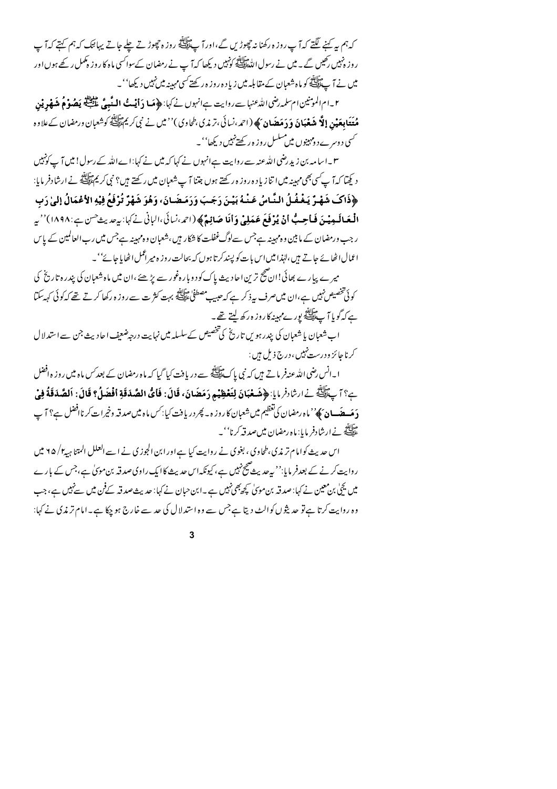کہ ہم ہے کہنے لگتے کہ آپ روز ہ رکھنا نہ چھوڑیں گے،اور آپ ﷺ روز ہ چھوڑتے چلے جاتے پہانتک کہ ہم کہتے کہ آپ روز ہنبیں رکھیں گے۔ میں نے رسول اللّٰہﷺ کونہیں دیکھا کہ آ پ نے رمضان کےسواکسی ماہ کا روز ہمکمل رکھے ہوں اور میں نے آ پے ایسی کو ماہ شعبان کے مقابلہ میں زیاد ہ روز ہ رکھتے کسی مہینہ میں نہیں دیکھا''۔

٢ \_ام الموننين ام سلمه رضي الله عنها سے روايت ہے انہوں نے کہا: ﴿ مَ**ا دَانِيتُ السَّبِيِّ عَائِشَتَيْ يَصُوْمُ هَيفودِ فِن مُعَةَامِعَيْنِ إِلَّا هُعْبَانَ وَدَمَصَانِ ﴾** (احمہ،نسائی،تر مٰدی،لحاوی)''میں نے نبی کریمﷺ کوشعبان ورمضان کےعلاوہ ۔<br>سمی د وسرے د ومہینوں میں مسلسل روز ہ رکھتے نہیں دیکھا''۔

س \_ اسا مہ بن زید رضی اللہ عنہ سے روایت ہے انہوں نے کہا کہ میں نے کہا: اے اللہ کے رسول! میں آ پ کونہیں دیکھا کہ آپ کسی بھی مہینہ میں اتنا زیاد ہ روز ہ رکھتے ہوں جتنا آپ شعبان میں رکھتے ہیں؟ نبی کریم ﷺ نے ارشادفر مایا: ﴿ذَاکَ شَهْرٌ يَغْفُلُ النَّاسُ عَنْـهُ بَيْـنَ رَجَبَ وَرَمَـضَـانَ، وَهُوَ شَهْرٌ تُرْفَعُ فِيْهِ الأغمَالُ إلىٰ رَب الْمَعَالَمِينَ فَيَاحِبُّ أَنْ يُزْفَعَ عَمَلِي وَأَنَا صَائِمٌ﴾ (احمَ سْائَى الباني نے كِها: يرحد بيث صن بِ١٨٩٨)'' يہ ر جب ورمضان کے ما بین و ہم ہینہ ہے جس سےلوگ غفلت کا شکار ہیں،شعبان و ہم ہینہ ہے جس میں رب العالمین کے پاس ا عمال اٹھائے جاتے ہیں،لہٰذا میں اس بات کو پسند کر تا ہوں کہ بحالت روز ہ میر اعمل اٹھایا جائے''۔

میرے پیارے بھائی!ان صحیح ترین احادیث پاک کودوبارہ غور سے پڑھئے ،ان میں ماہ شعبان کی پندرہ تاریخ کی کوئی تخصیص نہیں ہے،ان میں صرف پیرذ کر ہے کہ حبیب مصطفیٰ علیقے بہت کثر ت سے روز ہ رکھا کرتے تھے کہ کوئی کہہ سکتا ے کہ گویا آ جائیاتھ پورےمہینہ کاروز ہ رکھ لیتے تھے۔

اب شعبان یا شعبان کی پندرہویں تاریخ کی تخصیص کےسلسلہ میں نہایت درجہ ضعیف احادیث جن سے استدلال کر ناچائز و درست *نہیں ، د*ر ج ذیل ہیں :

ا۔انس رضی اللہ عنہ فر ماتے ہیں کہ نبی پاک ﷺ سے دریافت کیا گیا کہ ماہ رمضان کے بعد کس ماہ میں روز ہ افضل بِ؟ ٱ بِ اللَّهُ فِي ارتَادِفِرِ مايا: ﴿ شَعْبَانَ لِتَعْطِيْمِ دَمَصَانَ، قَالَ: فَايُّ الصَّدَقَةِ افْضَلُ؟ قَالَ: اَلصَّدَقَةُ فِيْ **دَ مَسعَنسان َ ﴾''،** ماه رمضان کی تعظیم میں شعبان کاروز ہ ۔ پھر دریافت کیا <sup>ب</sup>س ماہ میں صدقہ وخیرات کرناافضل ہے؟ آپ ۔<br>عل<del>یصل</del>ہ نے ارشا دفر مایا : ماہ رمضان میں صدقہ کرنا''۔

اس حدیث کوامام تر مذی،طحاوی ، بغوی نے روایت کیا ہےاورا بن الجوزی نے اسے العلل المتنا ہیہ ا کہ 8 میں روایت کرنے کے بعدفر مایا:'' ہیرحد بیٹ صحیح نہیں ہے، کیونکہاس حدیث کاا یک راوی صدقہ بن موںٰ ہے،جس کے بارے میں کچلی بن معین نے کہا: صدقہ بن موںل کچھ بھی نہیں ہے ۔ا بن حبان نے کہا: حدیث صدقہ کےفن میں سے نہیں ہے، جب وہ روایت کرتا ہے تو حدیثوں کوالٹ دیتا ہے جس سے وہ استدلال کی حد سے خارج ہو جکا ہے۔امام تر مذی نے کہا: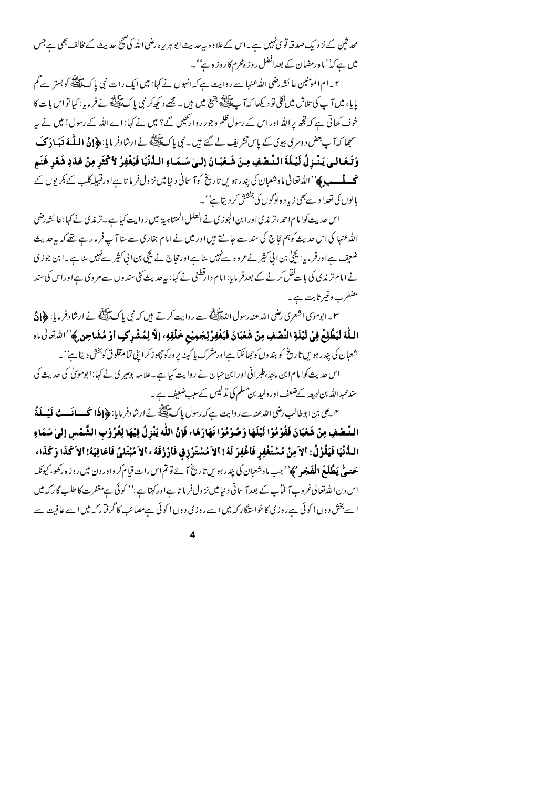محد ثین کے نز دیک صدقہ قوی نہیں ہے ۔اس کے علاوہ بیرعدیث ابو ہریرہ رضی اللہ کی صحیح حدیث کے مخالف بھی ہے جس میں ہے کہ'' ماہ رمضان کے بعدافضل روز ہمحرم کا روز ہ ہے''۔

۲ ۔ام المومنین عا ئشروضی اللہ عنہا سے روایت ہے کہ انہوں نے کہا: میں ایک رات نبی پاکﷺ کو بستر سے گم پایا، میں آ پ کی تلاش میں نکلی تو دیکھا کہ آ پﷺ یقیع میں ہیں ۔ مجھے دیکھ کر نبی پاک ایسے نے فرمایا: کیا تواس بات کا خوف کھاتی ہے کہ تھے پر اللہ اور اس کے رسول ظلم وجور روا رکھیں گے؟ میں نے کہا: اے اللہ کے رسول! میں نے بیہ سمجھا کہ آپ<sup>بعض</sup> دوسری بیوی کے پاس تشریف لے گئے ہیں ۔ نبی پاکﷺ نے ارشادفر مایا: ﴿**إِنَّ اللَّهَ قَبَهادَ کَ** وَتَبِعَالَيْ يَبْدِلُ لَيْلَةَ الشَّصْفِ مِنَ شَعْبَانَ إِلَيْ سَبَمَاءِ اللُّأْنَيَا فَيَغْفِرُ لأكْفَر مِنْ عَدَدِ شَغْرِ غَنَم **تحساب ک**ے''اللہ تعالیٰ ماہ شعبان کی بید رہو <sup>س</sup> تاریخ کوآ سانی دیامیں نز ول فر ما تا ہےاورقہیلہ کلب کے بکر یوں کے بالوں کی تعدا د سے بھی زیا د ہ لوگوں کی بخشش کر دیتا ہے''۔

اس حدیث کوامام احمہ ،تر مذی اورا بن الجوزی نے العلل المتناہیةِ میں روایت کیا ہے ۔تر مذی نے کہا: عا ئشر ضی اللہ عنہا کی اس حدیث کوہم حاج کی سند سے جانتے ہیں اور میں نے امام بخاری سے بنا آ پ فر مار ہے تھے کہ بیرعدیث ضعیف ہےاورفر مایا: کچکی بن الی کثیر نے عروہ سےنہیں بنا ہےاورحجاج نے کچکی بن الی کثیر سےنہیں بنا ہے ۔ابن جوزی نے امام تر ندی کی بات نقل کرنے کے بعدفر مایا:امام دا تطنی نے کہا: بیرحدیث کئی سندوں سے مروی ہےاوراس کی سند مضطرب وغیر ثابت ہے۔

س \_ ابوموسٰ اشعری رضی الله عنه رسول الله الله علیقه سے روایت کرتے ہیں کہ نبی پاکﷺ نے ارشادفر مایا: ﴿ **إِنَّ** اللَّهَ لَيَطَّلِعُ فِي لَيْلَةِ النَّصْفِ مِنْ شَعْبَانَ فَيَغْفِرُلِجَمِيْعِ خَلْقِهِ، إلَّا لِمُشْركِ أوْ مُشَاحِن ِ﴾' الدّتالٰ ،اه

شعبان کی بندر ہویں تاریخ کو بند وں کوجھانکیا ہےاورمشرک پا کہنہ پر ورکوچھوڑ کرا بنی تمام مخلوق کو بخش دیتا ہے''۔ اس حدیث کوامام ابن ماجہ،طبرانی اور ابن حیان نے روایت کیا ہے ۔علامہ بوصر ی نے کہا: ابوموں کی حدیث کی سندعبداللہ بن لہیعہ کےضعف اور ولید بن مسلم کی مذلیس کےسبب ضعیف ہے ۔

ىه \_على بن ابوطالب رضى الله عنه سے روايت ہے كہ رسول ياكﷺ نے ارشادفر مايا: ﴿**إِذَا كَـــانَـــتْ لَيْــلَةُ** الشَّصْفِ مِنْ شَعْبَانَ فَقُوْمُوْا لَيْلَهَا وَصُوْمُوْا نَهَارَهَا، فَإِنَّ اللَّه يَنْزِلُ فِيْهَا لِغُرُوْب الشَّمْس إلىٰ سَمَاءِ اللُّذْيَا فَيَقُوْلُ: ألاَ مِنْ مُسْتَغْفِرِ فَاغْفِرَ لَهُ ! ألاَ مُسْتَرْزِقِ فَارْزُقَهُ ، ألاَ مُبْتَليّ فَاعَافِيَهُ! ألاَ كَذَا وَكَذَا، **حَتــىٰ يَطْلَعَ الْفَعْجو بُ﴾**'' جب ماہ شعبان كى پندرہو يں تاريخ آئے تو تم اس رات قيام كر واور دن ميں روز ہ رك*ھو*، كيونكہ اس دن اللہ تعالیٰ غروب آ فماب کے بعد آ سانی دیامیں نز ول فرما تا ہےاور کہتا ہے :'' کوئی ہےمغفرت کا طلب گا رکہ میں ا سے بخش دوں! کوئی ہے روز کی کا خواستگار کہ میں اسے روز کی دوں! کوئی ہےمصائب کا گرفیار کہ میں اسے عافیت سے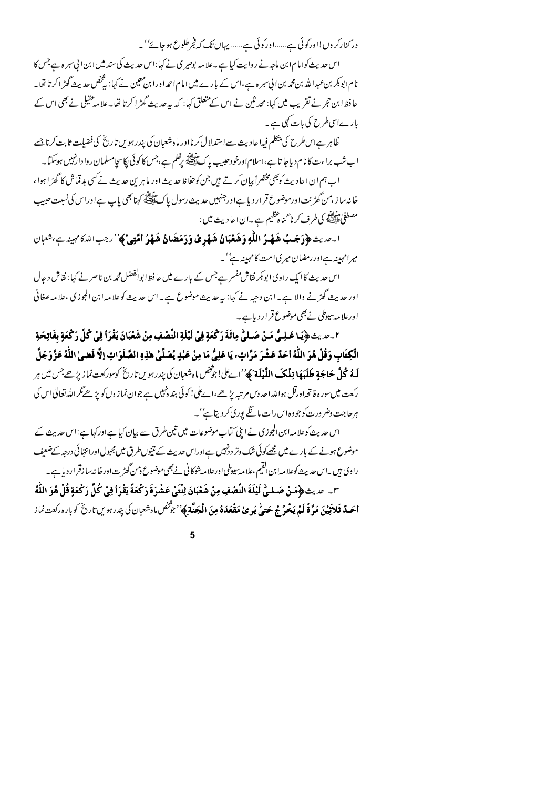در کنارکروں!اورکوئی ہے......اورکوئی ہے...... یہاں تک کہ فجرطلوع ہوجائے''۔ اس حدیث کوامام ابن ماجہ نے روایت کیا ہے۔علامہ بوصر کی نے کہا: اس حدیث کی سند میں ابن انی سمرہ ہےجس کا نام ابوبکر بن عبداللہ بن مجمہ بن ا بی سمر ہ ہے ،اس کے بارے میں امام احمداورا بن معین نے کہا: بیٹخص حدیث گھڑ اکرتا تھا۔ حافظ ابن حجر نے تقریب میں کہا: محد ثین نے اس کے متعلق کہا: کہ یہ حدیث گھڑ اکرتا تھا۔علا مہ عقیلی نے بھی اس کے بارےاسی طرح کی بات کہی ہے۔

.<br>فلاہر ہےاس طرح کی منتظم فیہا حادیث سےاستدلال کرنااور ماہ شعبان کی پندر ہویں تاریخ کی فضیلت ثابت کرنا جسے اب شب براءت کا نام دیا جا تا ہے،اسلاماورخودحبیب پاکﷺ یرکلم ہے،جس کا کوئی پکاسچامسلمان روادارنہیں ہوسکتا۔ اب ہم ان احادیث کو بھی مخضراً بیان کرتے ہیں جن کوحفاظ حدیث اور ماہر ین حدیث نے کسی بدقماش کا گھڑ ا ہوا ، خانه بیاز ،من گھڑنت اورموضوع قر ار دیا ہےاورجنہیں حدیث رسول پاک ﷺ کہا بھی باپ ہےاوراس کیانست حیب مصطفىٰ علي الله كى طرف كرنا گنا ہفتيم ہے۔ان ا حا ديث ميں :<br>مصطفىٰ عليہ اللہ کی طرف کرنا گنا ہفتيم ہے۔ان ا حا ديث ميں :

ا- مديث ﴿ دَجَبُ شَهْدُ اللَّهِ وَشَعْبَانُ شَهْرِي وَدَمَضَانُ شَهْرُ أُمَّتِي ﴾ ' رجب الله كامبينهج، شعبان میرامہینہ ہےاور رمضان میری امت کامہینہ ہے''۔

اس حدیث کاایک راوی ابوبکر نقاش مفسر ہے جس کے بارے میں حافظ ابوالفضل محمہ بن ناصر نے کہا: نقاش د حال اور حدیث گھڑنے والا ہے۔ابن دحیہ نے کہا: بیرحدیث موضوع ہے۔اس حدیث کو علامہ ابن الجوز کی ،علامہ صغانی اورعلامہ سپوطی نے بھی موضوع قرار دیا ہے۔

٢\_صريث﴿يَا عَـلِيُّ مَـنْ صَـلِيُّ مِائَةَ رَكْعَةٍ فِيْ لَيْلَةِ النِّصْفِ مِنْ شَعْبَانَ يَقْرَأُ فِي كُلِّ رَكْعَةِ بفَاتِحَةِ الْكِتَابِ وَقُلْ هُوَ اللَّهُ أَحَدٌ عَشْرَ مَرَّاتٍ، يَا عَلِيُّ مَا مِنْ عَبْدِ يُصَلِّيْ هٰذِهِ الصَّلَوَاتِ إلَّا قَضيٰ اللَّهُ عَزَّ وَجَلَّ **لَّهُ حُلٌّ حَاجَةِ طَلَبَهَا قِلْكَ اللَّيْلَة** َ ﴾''اۓكلي! جوْتَنِص ماه شعبان كي بيدر ہو س تاريخ كوسوركعت نماز بڑھےجس ميں ہر رکعت میںسورہ فاتحہاورقل ہواللہ احد دس مرتبہ پڑھے،اےعلی! کوئی بندہ نہیں ہے جوان نما ز وں کو پڑھے گر اللہ تعالیٰ اس کی ہرحاجت دضر ورت کو جووہ اس رات مانگے پوری کر دیتا ہے''۔

اس حدیث کوعلامہ! بن الجوزی نے اپنی کماب موضوعات میں تین طرق سے بیان کیا ہے اور کہا ہے: اس حدیث کے موضوع ہونے کے بارے میں مجھےکوئی شک وتر دڈنپیں ہےاوراس حدیث کے تنیوں طرق میں مجہول اورا نتہائی درجہ کےضعیف راوی ہیں۔اس حدیث کوعلامہ ابن القیم ،علامہ سپوطی اورعلامہ شوکانی نے بھی موضوع ومن گھڑت اورخانہ سازقر ار دیا ہے۔ ٣- صَرَتْ ﴿مَنْ صَلَّىٰٓ لَيْلَةَ النَّصْفِ مِنْ شَعْبَانَ تِنْتَىٰٓ عَشْرَةَ رَكْعَةً يَقْرَأَ فِي كُلّ رَكْعَةٍ قُلْ هُوَ اللَّهُ **أَحَــلَّهُ فَلاَثِيْنَ مَرَّةً لَمْ يَغْوُ جْ حَتِيْ يَوِ يٰ مَقْعَدَهُ مِنَ الْجَنَّةِ ﴾''جوَّض ماه شعبان كي يندر ہو س تاريخ كوباره ركعت نماز**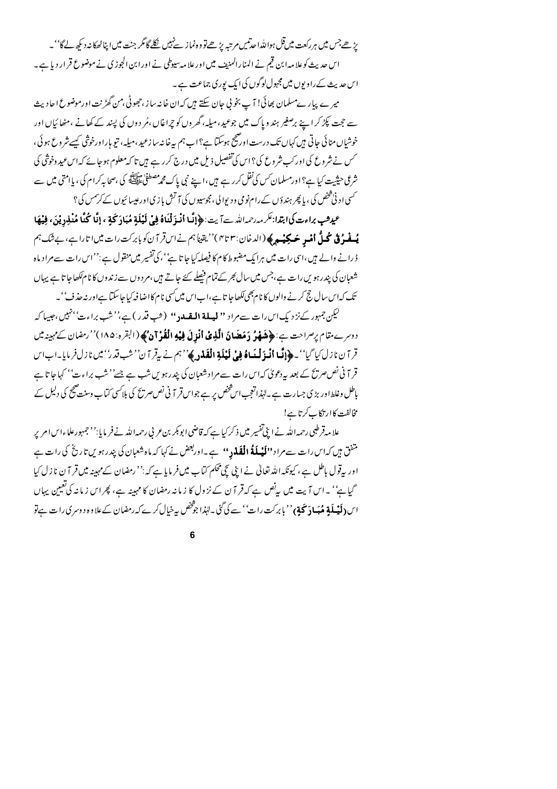یڑھےجس میں ہررکعت میںقل ہواللہ احدتمیں مرتبہ پڑھےتو وہ نماز سےنہیں نکلےگا گر جنت میں اپناٹھکا نہ دیکھ لےگا''۔ اس حدیث کوعلا مہ ابن قیم نے المنارالمدیب میں اورعلا مہ سیوطی نے اور ابن الجوزی نے موضوع قرار دیا ہے۔ اس حدیث کےراویوں میں مجہول لوگوں کی ایک پوری جماعت ہے۔

میر ے پیار ےمسلمان بھائی! آ پ بخو پی جان سکتے ہیں کہ ان خانہ ساز ،حجوثی ،من گھڑنت اورموضوع اجادیث سے حجت پکڑ کر اپنے برصغیر ہند ویاک میں جوعید، میلہ، گھروں کو چراغاں،مُر دوں کی پسند کے کھانے ،مٹھائیاں اور خوشاں منائی جاتی ہیں کہاں تک درست اور ضج ہوسکتا ہے؟ اب ہم ہہ خانہ سازعید ، میلہ، تیو ہار اورخوشی کیسے شروع ہوئی، کس نے شروع کی اور کب شروع کی؟ اس کی تفصیل ذیل میں درج کرر ہے ہیں تا کہ معلوم ہوجائے کہ اس عید وخوشی کی شرمی حیثیت کیا ہے؟ اورمسلمان کس کی نقل کرر ہے ہیں ،اپنے نبی پاک محمد مصطفیٰ ﷺ کی ،صحابہ کرام کی ، یا امتی میں سے <sup>کس</sup>ی ا د فی شخص کی ، یا پھر ہند <sub>وّ</sub>ں کے رام نومی و دیوا لی ، مجوسیوں کی ہ<sub>ا</sub> تش یا زی اورعیسا ئیوں کے کرسمس کی ؟

عيدهب براءت كيا بتدا: عَر مەرحمەالله سے آيت: ﴿إِنَّـا أَنْـذَلْنَاهُ فِي لَيْلَةٍ مُبَادَ كَةٍ ، إِنَّا كُنَّا مُنْذِدِ نِينَ، فِينْهَا **يُسفيرُ ڤي مُحلُّ امْسِرِ حَسِكِيْسِمِ ﴾ (الدخان :٣ تا٣)''يقيناً ہم نے اس قر آ ن کو بابرکت رات ميں ا تارا**ہے، بےشک ہم ڈرانے والے ہیں،اسی رات میں ہرایک مضبوط کام کا فیصلہ کیا جا تا ہے''، کی تفسیر میں منقول ہے :''اس رات سے مراد ماہ شعبان کی بیدرہویں رات ہے،جس میں سال *کبر کے تم*ام فیصلے <sub>کئے</sub> جاتے ہیں ،مردوں سے زندوں کا نام ککھاجا تا ہے یہاں تک کہ اس سال حج کرنے والوں کا نام بھی لکھاجا تا ہے،اب اس میں کسی نام کا اضافہ کیا جاسکتا ہےاور نہ حذف' ۔

لیکن جمہور کےنز دیک اس رات سے مراد '**' لیہلة المقیدد''** (شب قدر ) ہے،''شب براءت''نہیں،جیپا کہ دوسرے مقام پرصراحت ہے: ﴿ يَشَهِّدُ دَ مَضَانَ الَّذِي أَنْوْ لَ فِيْهِ الْقُوْ آن كَهُ (البقره: ١٨٥)'' رمضان كےمہينہ ميں قر آن نازل كيا گيا''۔ ﴿إِنَّـا أَنْبِهَ لَمِينَاهُ فِي لَيْلَةِ الْقَدْدِ ﴾''ہم نے بیقر آن''شب قدر''میں نازل فرمایا۔اب اس قر آنی نص صریح کے بعد یہ دعویٰ کہ اس رات سے م ادشعبان کی بندر ہو س شب ہے جسے'' شب براءت'' کہا جا تا ہے باطل وغلط1ور بڑی جسارت ہے۔ا<sub>لہنم</sub>اتعجب اس شخص پر ہے جواس قر آنی نص صریح کی بلاکسی کتاب وسنت صحیح کی دلیل کے مخالفت کاارتکا کرتا ہے!

علا مەقرطبى رحمہ الله نے اپنى تفسير ميں ذكر كيا ہے كہ قاضى ابو بكر بن عر في رحمہ الله نے فر مايا:'' حجمہورعلماءاس امرير متفق ہیں کہاس رات سےمرا د **''اَیڈیاَۃُ الْقَدْد** '' ہے ۔اوربعض نے کہا کہ ماہ شعبان کی پندر ہویں تاریخ کی رات ہے اور پہ قول باطل ہے ، کیونکہ اللہ تعالیٰ نے اپنی سچی پھکم کتاب میں فرمایا ہے کہ:'' رمضان کے مہینہ میں قر آ ن نازل کیا گیاہئے'' ۔اس آیت میں بی<sup>ن</sup>ص ہے کہ قر آ ن کے نز ول کا زمانہ رمضان کا مہینہ ہے، پھراس زمانہ کی تعیین یہاں ایں **(لَیْسلَة مُیَسادَ تَحَةِی''بابر**کت رات' سے کی گُی به لینرا جوشخص بہ خیال کرے کہ رمضان کےعلاوہ دوسر کی رات ہےتو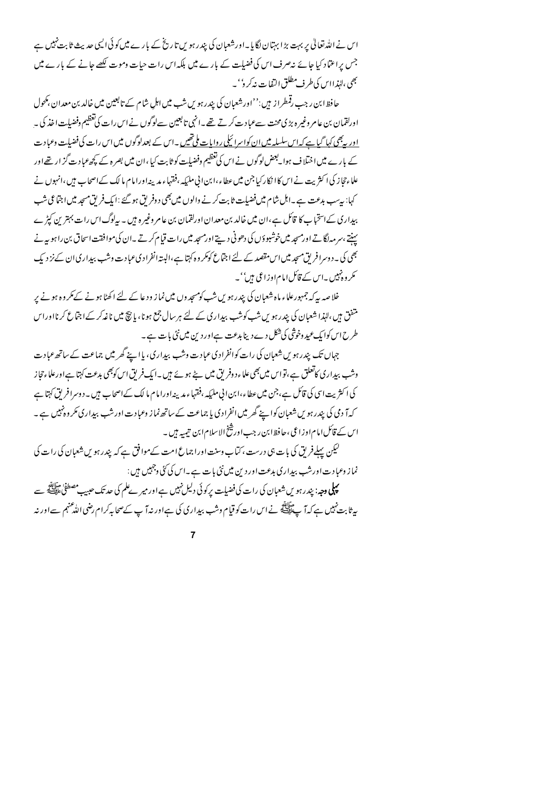اس نے اللہ تعالیٰ پر بہت بڑ ابہتان لگایا۔اورشعبان کی پندرہویں تاریخ کے بارے میں کوئی الیمی حدیث ثابت نہیں ہے جس پراعتماد کیا جائے نپرصرف اس کی فضیلت کے بارے میں بلکہ اس رات حیات وموت لکھے جانے کے بارے میں <sup>م</sup>جھی ،لہٰذااس کی طرف مطلق النفات نہ کرو' ۔

حافظ ابن رجب رقمطراز ہیں:''اورشعبان کی بیدرہو س شب میں اہل شام کے تابعین میں خالد بن معدان ،مکحول اورلقمان بن عام وغیر ہ بڑی محنت سےعمادت کرتے تھے۔انہی تابعین سےلوگوں نے اس رات کی تعظیم وفضیلت اخذ کی ۔ اور یہ بھی کہا گیا ہے کہ اس سلسلہ میں ان کواسرا ئیلی روایات ملی تھیں ۔اس کے بعدلوگوں میں اس رات کی فضیلت وعیادت کے بارے میں اختلاف ہوا۔بعض لوگوں نے اس کی تغظیم وفضیلت کو ثابت کیا ،ان میں بصر ہ کے کچھ عبادت گز ارتھےاور علماءتحاز کی اکثریت نے اس کا انکار کیا جن میں عطاء،ابن انی ملیکہ ،فقہاء مدینہ اورامام ما لک کےاصحاب ہیں ،انہوں نے کہا: بہ سب بدعت ہے ۔اہل شام میں فضلت ثابت کرنے والوں میں بھی دوفر یق ہوگئے :ایک فریق مسجد میں اجماعی شب بیداری کےاستخباب کا قائل ہے،ان میں خالد بن معدان اورلقمان بن عامر وغیر ہ ہیں ۔ بیہ لوگ اس رات بہترین کپڑے ینتے ،سر مدلگاتے اور سجد میں خوشبوؤں کی دھونی دیتے اور مسجد میں رات قیام کرتے ۔ان کی موافقت اسحاق بن را ہو یہ نے بھی کی ۔ دوسرافریق مسجد میں اس مقصد کے لئے اجتماع کومکر و ہ کہتا ہے،البتہ انفرا دیءبادت وشب بیداری ان کےنز دیک کر د ہ نہیں ۔اس کے قائل امام اوز اعی ہیں''۔

خلاصہ یہ کہ جمہورعلاء ماہ شعبان کی بندر ہو ں شب کومسحد وں میں نماز ود عا کے لئے اکھٹا ہونے کے مکر وہ ہونے پر ۔<br>متفق ہیں،لپذا شعبان کی بندرہو <sub>کی</sub> شب کوشپ بیداری کے لئے ہر سال جمع ہونا، یا نیچ میں ناغ**ہ** کر کےا ج<sub>ن</sub>اع کرنااوراس طرح اس کوایک عید وخوشی کی شکل دے دینا بدعت ہےاور دین میں نئی بات ہے۔

جہاں تک بندرہو ں شعبان کی رات کوانفراد کی عمادت وشب بیداری، یااپنے گھر میں جماعت کے ساتھ عبادت وشپ بیداری کاتعلق ہے،تواس میں بھی علماء دوفر لق میں بۓ ہوئے ہیں ۔ایک فریق اس کوبھی بدعت کہتا ہےاورعلماءتحاز کی اکثریت اسی کی قائل ہے،جن میں عطاء،ابن انی ملیکہ ،فقہاء مدینہ اورامام ما لک کےاصحاب میں۔ دوسرافریق کہتا ہے کہ آ دی کی بیدرہویں شعبان کواپنے گھر میں انفرادی یا جماعت کے ساتھ نماز وعبادت اورشب بیداری مکر وہ نہیں ہے ۔ اس کے قائل امام اوز اعی ،حافظ ابن رجب اور شخ الاسلام ابن تیمیہ ہیں ۔

لیکن پہلےفریق کی بات ہی درست ،کتاب وسنت اوراجماع امت کےموافق ہے کہ پندر ہویں شعبان کی رات کی نماز وعبادت اورشب بيداري بدعت اورد پن ميں نئي بات ہے۔اس کی کئی وجہيں ہيں : **پہلی دجہ:** پندرہویں شعبان کی رات کی فضیلت پرکوئی دلیل نہیں ہےاور میر ےعلم کی حد تک حبیب مصطفیٰ علیہ مسلسلے سے ر ہیں۔<br>پی<sup>ٹ</sup>ابت نہیں ہے کہ آپ ﷺ نے اس رات کو قیام وشب بیداری کی ہےاور نہ آپ کےصحابہ کرام رضی اللہ عنہم سےاور نہ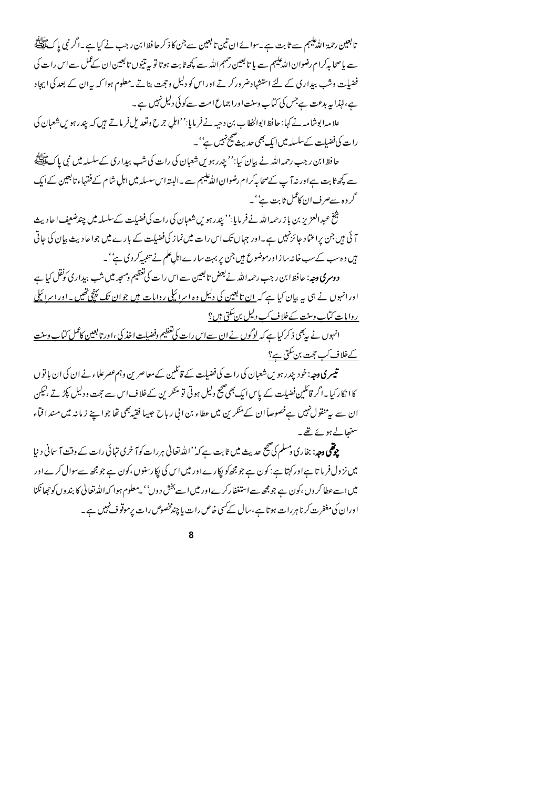تابعین رحمۃ اللہ علیہم سے ثابت ہے۔سوائے ان تین تابعین سے جن کا ذکر حافظ ابن رجب نے کیا ہے۔اگر نبی پاک اپنے گا سے پاصحا بہ کرام رضوان اللہ پلیہم سے پا تا بعین رحمہم اللہ سے کچھ ثابت ہوتا تو پی<sup>ہ</sup> پین تا بعین ان کے عمل سے اس رات کی فضیلت وشب بیداری کے لئے استشہادضر ورکرتے اور اس کو دلیل وحجت بناتے یہ معلوم ہوا کہ بیران کے بعد کی ایجاد ہے،لہٰذابیہ بدعت ہےجس کی کیاب وسنت اوراجماع امت سے کوئی دلیل نہیں ہے۔ علا مدا بوشامہ نے کہا: حا فظ ا بوالخطاب بن د حیہ نے فر مایا:''اہل جرح ولغدیل فر ماتے ہیں کہ پندر ہویں شعبان کی رات کی فضلت کےسلسلہ میں ایک بھی حدیث صحیح نہیں ہے''۔ حافظ ابن ر جب رحمہ اللہ نے بیان کیا:'' پیدر ہو 'ں شعبان کی رات کی شب بیداری کےسلسلہ میں نبی پاک ایک ایک ایک

سے پچھ ثابت ہےاور نہ آپ کےصحابہ کرام رضوان اللہ علیہم سے ۔البتہ اس سلسلہ میں اہلِ شام کے فقہاء تالبعین کے ایک گروہ سےصرف ان کاعمل ثابت ہے''۔

شخ عبدالعزیز بن با ز رحمه الله نے فر مایا:'' بیدر ہویںشعبان کی رات کی فضیلت کےسلسلہ میں چندضعیف احادیث آئی ہیں جن پراعتماد جائزنہیں ہے۔اور جہاں تک اس رات میں نماز کی فضیلت کے بارے میں جواحادیث بیان کی جاتی ہیں وہ سب کےسب خانہ ساز اورموضوع ہیں جن پر بہت سارےاہل علم نے تنبیہ کر دی ہے''۔

**دوسری دجہ:** حافظ ابن ر جب رحمہ اللہ نے بعض تا بعین سے اس رات کی تعظیم ومسجد میں شب بیدار کی کونقل کیا ہے اورانہوں نے ہی ہیہ بیان کیا ہے کہ <u>ان تا<sup>بعی</sup>ین کی دلیل وہ اسرائیلی روایات ہیں جوان تک پینچ تھیں ۔اور اسرائیلی</u> <u>روایات کتاب وسنت کےخلاف کپ دلیل بن تکتی ہیں؟</u>

انہوں نے پہنچی ذکرکیا ہے کہ لوگوں نے ان سےاس رات کی تغظیم وفضلت اخذ کی ،اورتابعین کاعمل کیاب وسنت کےخلاف کپ ججت ہین کتی ہے؟

**تیسری د**حیہ: خو دیندر ہو <sup>س</sup> شعبان کی رات کی فضیلت کے قائلین کے معاصر <sup>من</sup> وہم عصر عل<sub>اء</sub> نے ان کی ان با تو ں کا انکارکیا ۔اگر قائلین فضیلت کے پاس ایک بھی صبح دلیل ہوتی تو منکرین کے خلاف اس سے حجت ودلیل پکڑتے ،لیکن ان سے پی<sup>ر</sup> نقول نہیں ہےخصوصاً ان کے منکرین میں عطاء بن انی رباح حبیبا فقیہ بھی تھا جواپنے ز**مانہ میں مندا ف**آء سنھالے ہوئے تھے۔

**چوتھی دحیہ:** بخاری دمسلم کی صبح حدیث میں ثابت ہے کہ''اللہ تعالیٰ ہررات کوآ خری تہائی رات کے وقت آ سانی دی<u>ا</u> میں نز ول فر ما تا ہے اور کہتا ہے : کون ہے جو مجھ کو پکار ےاور میں اس کی پکارسنوں ،کون ہے جو مجھ سےسوال کرےاور میں اسے عطا کر وں ،کون ہے جو مجھ سے استغفارکر ےاور میں اسے بخش دوں'' یہ معلوم ہوا کہ اللہ تعالٰی کا بندوں کوحجھا نکنا اوران کی مغفرت کرنا ہر رات ہوتا ہے،سال کے کسی خاص رات یا چندمخصوص رات پرموقو ف نہیں ہے ۔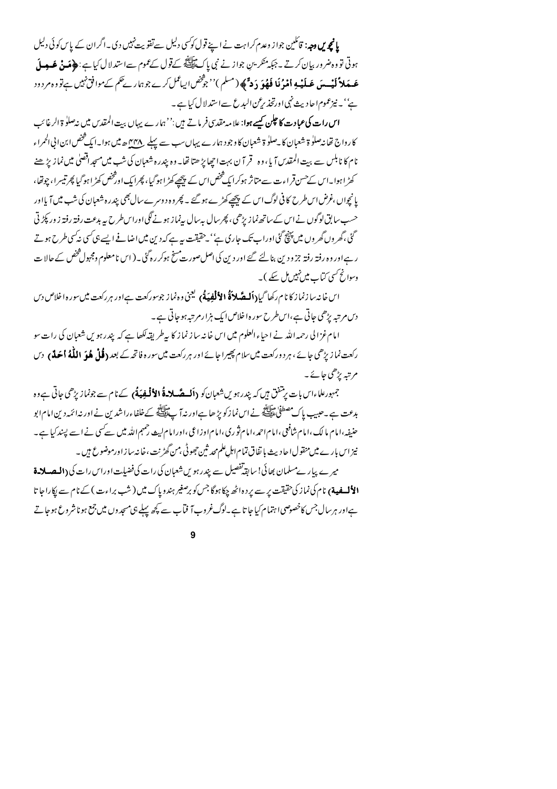ی**انچویں دیے.**: قائلین جواز وعدم کراہت نے اپنے قول کو<sup>کس</sup>ی دلیل سےتقویت نہیں دی۔اگران کے پاس کوئی دلیل ہوتی تو وہ ضرور بیان کرتے ۔جبکہ منکرینِ جواز نے نبی پاکﷺ کےقول کےعموم سےاستدلال کیا ہے: **﴿مَنْ عَسِيلَ عَسَلاً أيْسِسَ عَسلَيْهِ امْوُنَا فَهُوَ دَ دٌ ﴾** (مسلم )'' جوْخص <sub>ا</sub>يساعمل كرے جو ہمارےحكم كےموافق نہيں ہےتو وہ مر دود ہے''۔ نیزعموم احا دیث نہی اورتخذ رعِن البدع سے استدلال کیا ہے۔

**اس رات کی عبادت کا چلن کیسے ہوا**: علا مہ مقدسی فر ماتے ہیں :''ہمارے یہاں بہت المقدس میں نہ صلوٰ ۃ الرغائب کارواج تھانہ صلو ۃ شعبان کا یے صلو ۃ شعبان کا وجود ہمارے پہاں سب سے پہلے بہہم ہے میں ہوا۔ایک څخص ابن انی الحمراء نام کا نابلس سے بہتِ المقدس آیا، وہ \_قر آن بہت اچھا پڑ ھتا تھا۔ وہ پندرہ شعبان کی شب میں مسجد اقصٰی میں نما زیڑ ھنے کھڑ اہوا۔اس کےحسن قراءت سے متاثر ہوکرا یک څخص اس کے پیچھیے کھڑ اہو گیا، پھرایک اورڅخص کھڑ اہوگیا پھرتیسرا، چوقفا، یانچواں،غرض اس طرح کا فی لوگ اس کے پیچھے کھڑے ہو گئے ۔ پھر وہ دوسرے سال بھی پندرہ شعبان کی شب میں آیااور حسب سابق لوگوں نے اس کے ساتھ نماز بڑھی، پھر سال بیہال بینماز ہونے لگی اوراس طرح بیہ بدعت رفتہ رفتہ ز ور پکڑتی گئی،گھروں گھروں میں پہنچ گئی اوراب تک جاری ہے'' حقیقت ہیے کہ دین میں اضافے ایسے ہی کسی نہ کسی طرح ہوتے ر ہےاور وہ رفتہ رفتہ جزو دین بنالئے گئے اور دین کی اصل صورت منتج ہوکر رہ گئی۔( اس نامعلوم ومجہول شخص کے حالا ت وسوانح کسی کتاب میں نہیں مل سکے )۔

اس خانه سازنما ز کا نام رکھا گی**ا (اَلـصَّلاَةُ الأَلْفِيَةُ** ) گیجنی وه نماز جوسورکعت ہےاور ہر رکعت میں سور ہ<sup>ی</sup> خلاص دس دیں مرتبہ پڑھی جاتی ہے،اس طرح سور ہ اخلاص ایک ہزا رم تبہ ہوجاتی ہے۔

ا مام غزالی رحمہ اللہ نے احباء العلوم میں اس خانہ ساز نماز کا پہ طریقہ لکھا ہے کہ بیدرہو س شعبان کی رات سو رکعت نماز بڑھی جائے ، ہر دورکعت میں سلام پھیرا جائے اور ہررکعت میں سورہ فاتحہ کے بعد **(قُلْ هُوَ اللّٰهُ أَحَدٌ** ) دس م تبہ بڑھی جائے۔

جمہورعلاءاس بات پر تنفق ہیں کہ پندر ہویں شعبان کو **(اَلہ صَّلا۔ةُ الأَلْفِيهَةُ)** کے نام سے جونماز پڑھی جاتی ہے وہ بدعت ہے ۔حبیب پاک مصطفحات ایلان کے اس نمازکو پڑ ھا ہےاور نہ آ پ ایلان کے خلفاءراشد ین نے اور نہ ائمہ دین امام ابو حنیفہ،امام مالک،امام شافعی،امام احمہ،امام ثوری،امام اوزاعی،اورامام لیٹ رحمہم اللہ میں سے کسی نے اسے پسند کیا ہے۔ نیز اس بار ے میں منقول احادیث با تفاق تمام اہلِ علم محد ثین جھوٹی من گھڑنت،خانہ سا زاورموضوع ہیں۔

میرے پیارےمسلمان بھائی! سابقہ تفصیل سے پندرہویں شعبان کی رات کی فضیلت اوراس رات کی **(المصلاق الألسفية)** نام كى نماز كى حقيقت ير سے يرد ہ اٹھ چكا ہوگا جس كو برصغیر ہندوياك ميں ( شب براءت ) كے نام سے پكاراجا تا ہےاور ہرسال جس کاخصوصی اہتمام کیا جا تا ہے ۔لوگ غروب آ فیآ ے کچھ پہلے ہی مسجد وں میں جمع ہو ناشر وع ہوجا تے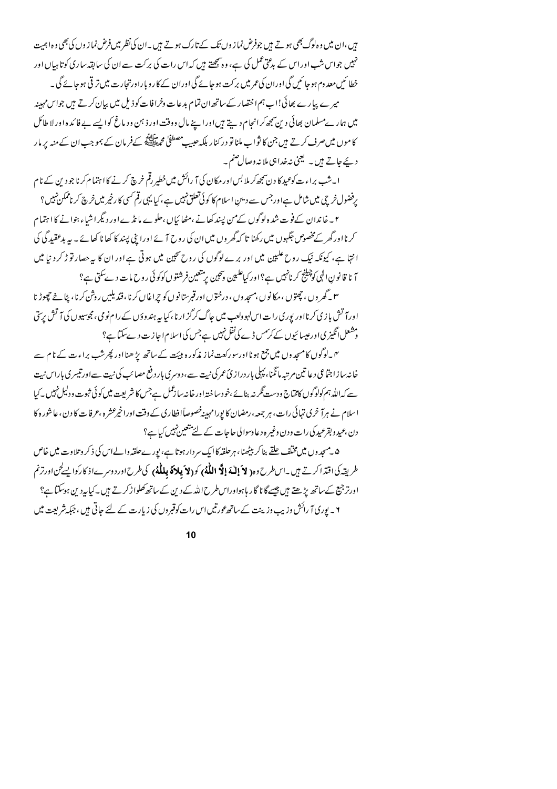ہیں،ان میں وہ لوگ بھی ہوتے ہیں جوفرض نما ز وں تک کے تارک ہوتے ہیں ۔ان کی نظر میں فرض نما ز وں کی بھی وہ اہمیت نہیں جواس شب اوراس کے بد<sup>ی</sup>ق عمل کی ہے، وہ پی<u>چھتے</u> ہیں کہ اس رات کی برکت سے ان کی سابقہ ساری کو تاہیاں اور خطا ئیں معد وم ہو جا ئیں گی اوران کی عمر میں برکت ہو جائے گی اوران کے کارو یا راورتجارت میں تر قی ہو جائے گی ۔ میرے پیارے بھائی!اب ہم اختصار کےساتھ ان تمام بدعات وخرافات کو ذیل میں بیان کرتے ہیں جواس مہینہ میں ہمار ےمسلمان بھائی دین سمجھ کرانجام دیتے ہیںاورا پنے مال ووقت اور ذہن ودیاغ کوا یسے بے فائدہ اور لا طائل کا موں میںصرف کرتے ہیں جن کا ثواب ملنا تو در کنار بلکہ حبیب مصطفیٰ حم<sup>ی</sup> ایک تھے کے فرمان کے بمو جب ان کے منہ پر مار د بچے جاتے ہیں ۔ کیجنی نیہ خداہی ملا نیہ وصال صنم ۔

ا یہ شپ براءت کوعید کا دن سمجھ کر ملا<sup>ب</sup>س اور مکان کی آ رائش میں خطیر رقم خرچ کرنے کا اہتمام کرنا جو دین کے نام رفضول خرچ میں شامل ہےاورجس سے دی<sub>ن</sub> اسلام کا کوئی تعلق نہیں ہے ، کیا یہی رقم <sup>کس</sup>ی کا رخیر میں خرچ کر ناممکن نہیں؟ ۲۔ خاندان کے فوت شدہ لوگوں کے من پسند کھانے ،مٹھائیاں،حلوے ما نڈےاور دیگرا شاء بنوانے کا اہتمام کرنااورگھر کےمخصوص جگہوں میں رکھنا تا کہ گھر وں میں ان کی روح آ ئے اورا بنی پسند کا کھانا کھائے ۔ بیر بدعقید گی کی انتہا ہے، کیونکہ نیک روح علیمین میں اور برےلوگوں کی روح سجین میں ہوتی ہے اور ان کا ہہ حصار تو ڑ کر دیا میں ا نا قا نون ال<sub>ک</sub>ی کوچینیج کر نانہیں ہے؟اور کیاعلیمیں وسچین می<sup>ر</sup> تعیین فرشتوں کوکوئی روح مات دے سکتی ہے؟

۳ \_ گھر وں ، چھتوں ، مرکا نوں ،مسجد وں ، درختوں اورقبرستانوں کو حراغاں کرنا ، قندیلیں روشن کرنا ، پٹا خے چھوڑ نا اورآ تش بازی کرنااور پوری رات اس لہوولعب میں جاگ کرگز ارنا ،کیا ہہ ہندوؤں کے رام نومی ،مجوسیوں کی آتش پرسی ومشعل انگیز ی|ورعیسائیوں کےکرٹمس ڈے کی نقل نہیں ہے جس کی|سلام|حاز ت دےسکیا ہے؟

<sup>ی</sup>ں۔لوگوں کامسجد وں میں جمع ہونا اورسورکعت نماز مذکورہ ہیئت کے ساتھ پڑ ھنااور پھرشب براءت کے نام سے خانہ بیاز اجتماعی د عا تین مرتبہ مانگنا، بہلی بار درازیؐ عمر کی نبت سے، دوسر کی بار دفع مصائب کی نبت سےاور تیسری باراس نبت سے کہ اللہ ہم کولوگوں کامخاج ودست ٹگر نہ بنائے ،خودسا ختہ اور خانہ سا زعمل ہےجس کا شریعت میں کوئی ثبوت ودلیل نہیں ۔کیا اسلام نے ہرآ خری تہائی رات، ہر جمعہ، رمضان کا پورامہینہ خصوصاً افطاری کے وقت اوراخپرعشرہ ،عرفات کا دن، عاشورہ کا دن ،عیدو بقرعید کی رات ودن وغیر ہ د عاوسوا لی حاجات کے لئے متعین نہیں کیا ہے؟

۵ به مبحد وں میں مختلف حلقے بنا کر بیٹھنا ، ہرحلقہ کا ایک سر دارہوتا ہے، پورےحلقہ والےاس کی ذکر وتلاوت میں خاص طريقه كی اقتد اکرتے ہیں۔اس طرح و ہ**\ لاَ إِلٰهَ إِلَّا اللّٰهُ**ى كو**\ لاَ يلاَهُ يللُهُ**ى كی طرح اور دوسرےاذ كاركوا يسے *فن ا*ورترنم اورتر جیج کے ساتھ پڑھتے ہیں جیسے گا نا گار ہا ہواوراس طرح اللہ کے دین کے ساتھ کھلواڑ کرتے ہیں ۔کیا پیردین ہوسکتا ہے؟ y ۔ یوری <sub>آ</sub> رائش وزیب وزیپنت کےساتھ <sub>گ</sub>ورتیں اس رات کوقبر وں کی زیارت کے لئے جاتی ہیں، جبکہ شریعت میں

 $10$